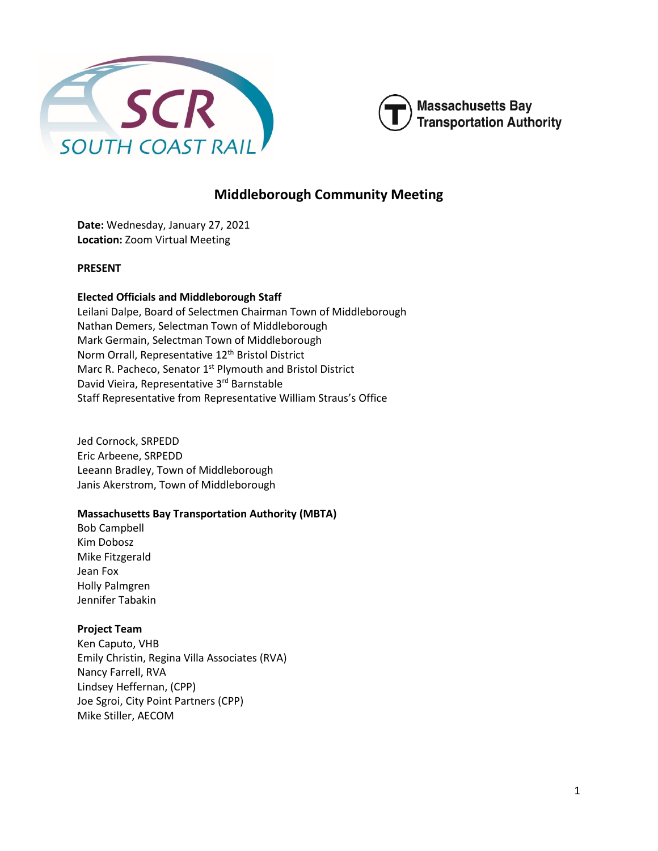



# **Middleborough Community Meeting**

**Date:** Wednesday, January 27, 2021 **Location:** Zoom Virtual Meeting

### **PRESENT**

### **Elected Officials and Middleborough Staff**

Leilani Dalpe, Board of Selectmen Chairman Town of Middleborough Nathan Demers, Selectman Town of Middleborough Mark Germain, Selectman Town of Middleborough Norm Orrall, Representative 12<sup>th</sup> Bristol District Marc R. Pacheco, Senator 1<sup>st</sup> Plymouth and Bristol District David Vieira, Representative 3rd Barnstable Staff Representative from Representative William Straus's Office

Jed Cornock, SRPEDD Eric Arbeene, SRPEDD Leeann Bradley, Town of Middleborough Janis Akerstrom, Town of Middleborough

# **Massachusetts Bay Transportation Authority (MBTA)**

Bob Campbell Kim Dobosz Mike Fitzgerald Jean Fox Holly Palmgren Jennifer Tabakin

# **Project Team**

Ken Caputo, VHB Emily Christin, Regina Villa Associates (RVA) Nancy Farrell, RVA Lindsey Heffernan, (CPP) Joe Sgroi, City Point Partners (CPP) Mike Stiller, AECOM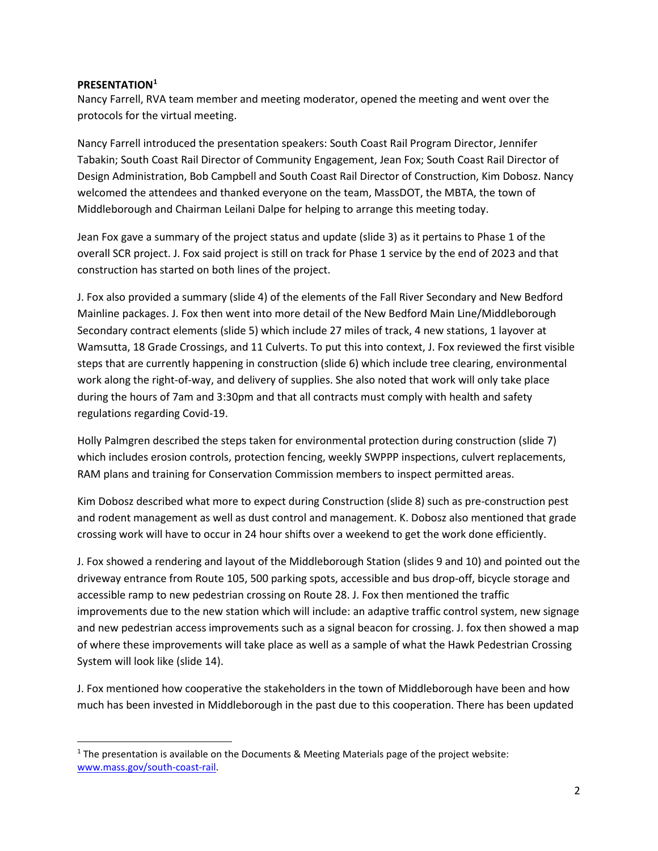### **PRESENTATION[1](#page-1-0)**

Nancy Farrell, RVA team member and meeting moderator, opened the meeting and went over the protocols for the virtual meeting.

Nancy Farrell introduced the presentation speakers: South Coast Rail Program Director, Jennifer Tabakin; South Coast Rail Director of Community Engagement, Jean Fox; South Coast Rail Director of Design Administration, Bob Campbell and South Coast Rail Director of Construction, Kim Dobosz. Nancy welcomed the attendees and thanked everyone on the team, MassDOT, the MBTA, the town of Middleborough and Chairman Leilani Dalpe for helping to arrange this meeting today.

Jean Fox gave a summary of the project status and update (slide 3) as it pertains to Phase 1 of the overall SCR project. J. Fox said project is still on track for Phase 1 service by the end of 2023 and that construction has started on both lines of the project.

J. Fox also provided a summary (slide 4) of the elements of the Fall River Secondary and New Bedford Mainline packages. J. Fox then went into more detail of the New Bedford Main Line/Middleborough Secondary contract elements (slide 5) which include 27 miles of track, 4 new stations, 1 layover at Wamsutta, 18 Grade Crossings, and 11 Culverts. To put this into context, J. Fox reviewed the first visible steps that are currently happening in construction (slide 6) which include tree clearing, environmental work along the right-of-way, and delivery of supplies. She also noted that work will only take place during the hours of 7am and 3:30pm and that all contracts must comply with health and safety regulations regarding Covid-19.

Holly Palmgren described the steps taken for environmental protection during construction (slide 7) which includes erosion controls, protection fencing, weekly SWPPP inspections, culvert replacements, RAM plans and training for Conservation Commission members to inspect permitted areas.

Kim Dobosz described what more to expect during Construction (slide 8) such as pre-construction pest and rodent management as well as dust control and management. K. Dobosz also mentioned that grade crossing work will have to occur in 24 hour shifts over a weekend to get the work done efficiently.

J. Fox showed a rendering and layout of the Middleborough Station (slides 9 and 10) and pointed out the driveway entrance from Route 105, 500 parking spots, accessible and bus drop-off, bicycle storage and accessible ramp to new pedestrian crossing on Route 28. J. Fox then mentioned the traffic improvements due to the new station which will include: an adaptive traffic control system, new signage and new pedestrian access improvements such as a signal beacon for crossing. J. fox then showed a map of where these improvements will take place as well as a sample of what the Hawk Pedestrian Crossing System will look like (slide 14).

J. Fox mentioned how cooperative the stakeholders in the town of Middleborough have been and how much has been invested in Middleborough in the past due to this cooperation. There has been updated

<span id="page-1-0"></span><sup>&</sup>lt;sup>1</sup> The presentation is available on the Documents & Meeting Materials page of the project website: [www.mass.gov/south-coast-rail.](http://www.mass.gov/south-coast-rail)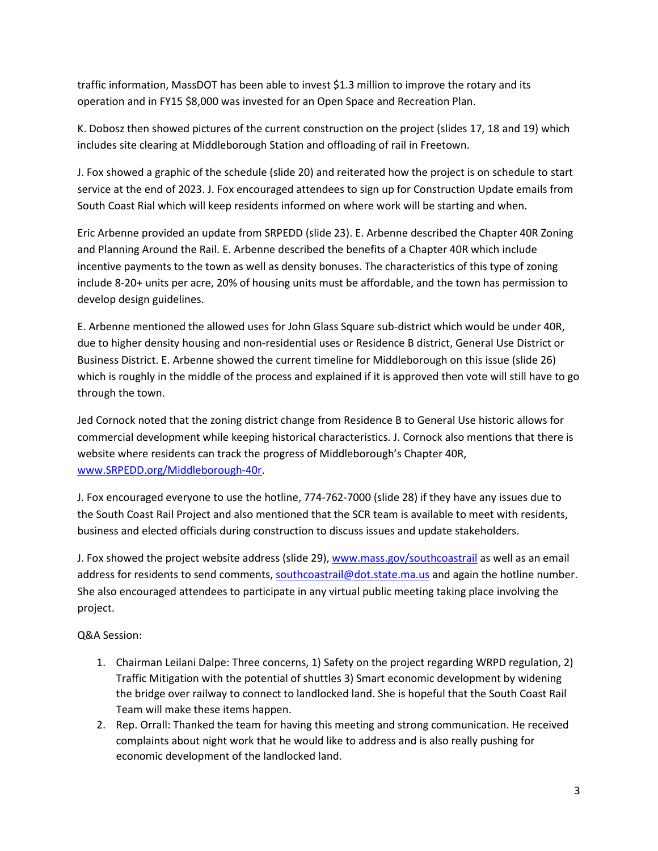traffic information, MassDOT has been able to invest \$1.3 million to improve the rotary and its operation and in FY15 \$8,000 was invested for an Open Space and Recreation Plan.

K. Dobosz then showed pictures of the current construction on the project (slides 17, 18 and 19) which includes site clearing at Middleborough Station and offloading of rail in Freetown.

J. Fox showed a graphic of the schedule (slide 20) and reiterated how the project is on schedule to start service at the end of 2023. J. Fox encouraged attendees to sign up for Construction Update emails from South Coast Rial which will keep residents informed on where work will be starting and when.

Eric Arbenne provided an update from SRPEDD (slide 23). E. Arbenne described the Chapter 40R Zoning and Planning Around the Rail. E. Arbenne described the benefits of a Chapter 40R which include incentive payments to the town as well as density bonuses. The characteristics of this type of zoning include 8-20+ units per acre, 20% of housing units must be affordable, and the town has permission to develop design guidelines.

E. Arbenne mentioned the allowed uses for John Glass Square sub-district which would be under 40R, due to higher density housing and non-residential uses or Residence B district, General Use District or Business District. E. Arbenne showed the current timeline for Middleborough on this issue (slide 26) which is roughly in the middle of the process and explained if it is approved then vote will still have to go through the town.

Jed Cornock noted that the zoning district change from Residence B to General Use historic allows for commercial development while keeping historical characteristics. J. Cornock also mentions that there is website where residents can track the progress of Middleborough's Chapter 40R, [www.SRPEDD.org/Middleborough-40r.](http://www.srpedd.org/Middleborough-40r)

J. Fox encouraged everyone to use the hotline, 774-762-7000 (slide 28) if they have any issues due to the South Coast Rail Project and also mentioned that the SCR team is available to meet with residents, business and elected officials during construction to discuss issues and update stakeholders.

J. Fox showed the project website address (slide 29), [www.mass.gov/southcoastrail](http://www.mass.gov/southcoastrail) as well as an email address for residents to send comments[, southcoastrail@dot.state.ma.us](mailto:southcoastrail@dot.state.ma.us) and again the hotline number. She also encouraged attendees to participate in any virtual public meeting taking place involving the project.

# Q&A Session:

- 1. Chairman Leilani Dalpe: Three concerns, 1) Safety on the project regarding WRPD regulation, 2) Traffic Mitigation with the potential of shuttles 3) Smart economic development by widening the bridge over railway to connect to landlocked land. She is hopeful that the South Coast Rail Team will make these items happen.
- 2. Rep. Orrall: Thanked the team for having this meeting and strong communication. He received complaints about night work that he would like to address and is also really pushing for economic development of the landlocked land.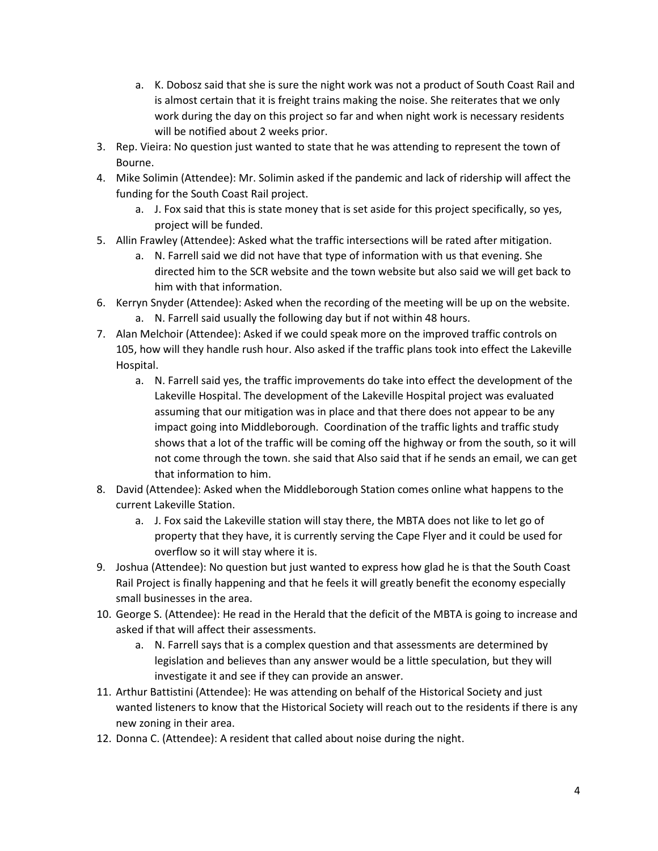- a. K. Dobosz said that she is sure the night work was not a product of South Coast Rail and is almost certain that it is freight trains making the noise. She reiterates that we only work during the day on this project so far and when night work is necessary residents will be notified about 2 weeks prior.
- 3. Rep. Vieira: No question just wanted to state that he was attending to represent the town of Bourne.
- 4. Mike Solimin (Attendee): Mr. Solimin asked if the pandemic and lack of ridership will affect the funding for the South Coast Rail project.
	- a. J. Fox said that this is state money that is set aside for this project specifically, so yes, project will be funded.
- 5. Allin Frawley (Attendee): Asked what the traffic intersections will be rated after mitigation.
	- a. N. Farrell said we did not have that type of information with us that evening. She directed him to the SCR website and the town website but also said we will get back to him with that information.
- 6. Kerryn Snyder (Attendee): Asked when the recording of the meeting will be up on the website. a. N. Farrell said usually the following day but if not within 48 hours.
- 7. Alan Melchoir (Attendee): Asked if we could speak more on the improved traffic controls on 105, how will they handle rush hour. Also asked if the traffic plans took into effect the Lakeville Hospital.
	- a. N. Farrell said yes, the traffic improvements do take into effect the development of the Lakeville Hospital. The development of the Lakeville Hospital project was evaluated assuming that our mitigation was in place and that there does not appear to be any impact going into Middleborough. Coordination of the traffic lights and traffic study shows that a lot of the traffic will be coming off the highway or from the south, so it will not come through the town. she said that Also said that if he sends an email, we can get that information to him.
- 8. David (Attendee): Asked when the Middleborough Station comes online what happens to the current Lakeville Station.
	- a. J. Fox said the Lakeville station will stay there, the MBTA does not like to let go of property that they have, it is currently serving the Cape Flyer and it could be used for overflow so it will stay where it is.
- 9. Joshua (Attendee): No question but just wanted to express how glad he is that the South Coast Rail Project is finally happening and that he feels it will greatly benefit the economy especially small businesses in the area.
- 10. George S. (Attendee): He read in the Herald that the deficit of the MBTA is going to increase and asked if that will affect their assessments.
	- a. N. Farrell says that is a complex question and that assessments are determined by legislation and believes than any answer would be a little speculation, but they will investigate it and see if they can provide an answer.
- 11. Arthur Battistini (Attendee): He was attending on behalf of the Historical Society and just wanted listeners to know that the Historical Society will reach out to the residents if there is any new zoning in their area.
- 12. Donna C. (Attendee): A resident that called about noise during the night.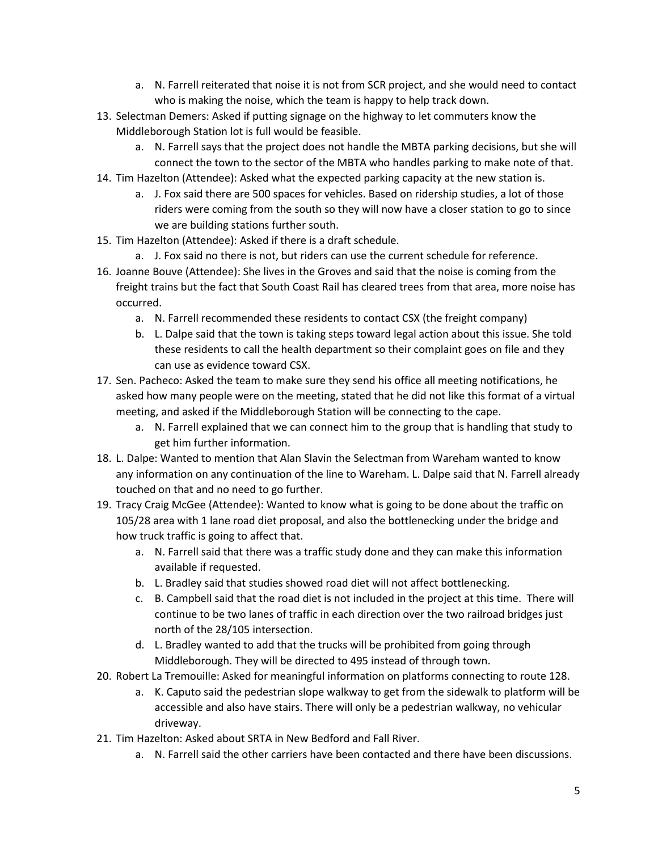- a. N. Farrell reiterated that noise it is not from SCR project, and she would need to contact who is making the noise, which the team is happy to help track down.
- 13. Selectman Demers: Asked if putting signage on the highway to let commuters know the Middleborough Station lot is full would be feasible.
	- a. N. Farrell says that the project does not handle the MBTA parking decisions, but she will connect the town to the sector of the MBTA who handles parking to make note of that.
- 14. Tim Hazelton (Attendee): Asked what the expected parking capacity at the new station is.
	- a. J. Fox said there are 500 spaces for vehicles. Based on ridership studies, a lot of those riders were coming from the south so they will now have a closer station to go to since we are building stations further south.
- 15. Tim Hazelton (Attendee): Asked if there is a draft schedule.
	- a. J. Fox said no there is not, but riders can use the current schedule for reference.
- 16. Joanne Bouve (Attendee): She lives in the Groves and said that the noise is coming from the freight trains but the fact that South Coast Rail has cleared trees from that area, more noise has occurred.
	- a. N. Farrell recommended these residents to contact CSX (the freight company)
	- b. L. Dalpe said that the town is taking steps toward legal action about this issue. She told these residents to call the health department so their complaint goes on file and they can use as evidence toward CSX.
- 17. Sen. Pacheco: Asked the team to make sure they send his office all meeting notifications, he asked how many people were on the meeting, stated that he did not like this format of a virtual meeting, and asked if the Middleborough Station will be connecting to the cape.
	- a. N. Farrell explained that we can connect him to the group that is handling that study to get him further information.
- 18. L. Dalpe: Wanted to mention that Alan Slavin the Selectman from Wareham wanted to know any information on any continuation of the line to Wareham. L. Dalpe said that N. Farrell already touched on that and no need to go further.
- 19. Tracy Craig McGee (Attendee): Wanted to know what is going to be done about the traffic on 105/28 area with 1 lane road diet proposal, and also the bottlenecking under the bridge and how truck traffic is going to affect that.
	- a. N. Farrell said that there was a traffic study done and they can make this information available if requested.
	- b. L. Bradley said that studies showed road diet will not affect bottlenecking.
	- c. B. Campbell said that the road diet is not included in the project at this time. There will continue to be two lanes of traffic in each direction over the two railroad bridges just north of the 28/105 intersection.
	- d. L. Bradley wanted to add that the trucks will be prohibited from going through Middleborough. They will be directed to 495 instead of through town.
- 20. Robert La Tremouille: Asked for meaningful information on platforms connecting to route 128.
	- a. K. Caputo said the pedestrian slope walkway to get from the sidewalk to platform will be accessible and also have stairs. There will only be a pedestrian walkway, no vehicular driveway.
- 21. Tim Hazelton: Asked about SRTA in New Bedford and Fall River.
	- a. N. Farrell said the other carriers have been contacted and there have been discussions.